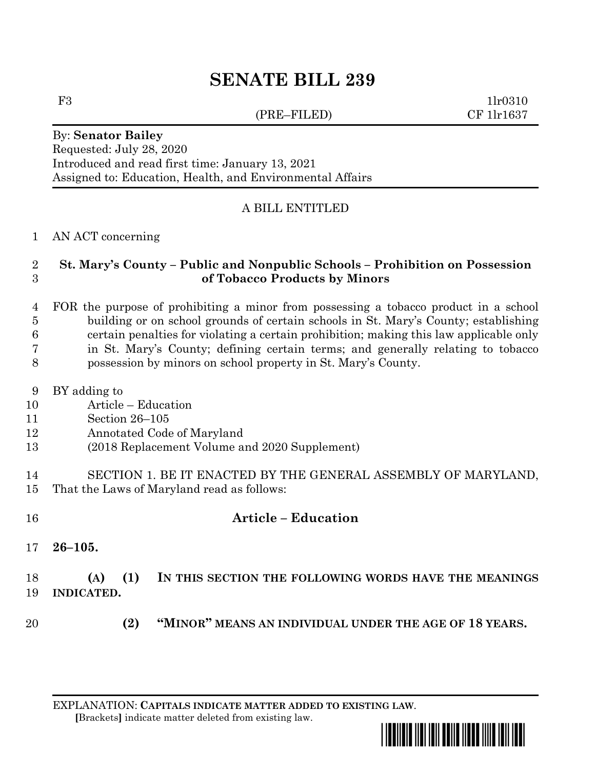## **SENATE BILL 239**

(PRE–FILED) CF 1lr1637

F3 1lr0310

## By: **Senator Bailey** Requested: July 28, 2020 Introduced and read first time: January 13, 2021 Assigned to: Education, Health, and Environmental Affairs

## A BILL ENTITLED

AN ACT concerning

## **St. Mary's County – Public and Nonpublic Schools – Prohibition on Possession of Tobacco Products by Minors**

 FOR the purpose of prohibiting a minor from possessing a tobacco product in a school building or on school grounds of certain schools in St. Mary's County; establishing certain penalties for violating a certain prohibition; making this law applicable only in St. Mary's County; defining certain terms; and generally relating to tobacco possession by minors on school property in St. Mary's County.

- BY adding to
- Article Education
- Section 26–105
- Annotated Code of Maryland
- (2018 Replacement Volume and 2020 Supplement)
- SECTION 1. BE IT ENACTED BY THE GENERAL ASSEMBLY OF MARYLAND, That the Laws of Maryland read as follows:
- **Article – Education 26–105. (A) (1) IN THIS SECTION THE FOLLOWING WORDS HAVE THE MEANINGS INDICATED.**
- **(2) "MINOR" MEANS AN INDIVIDUAL UNDER THE AGE OF 18 YEARS.**
	- EXPLANATION: **CAPITALS INDICATE MATTER ADDED TO EXISTING LAW**.  **[**Brackets**]** indicate matter deleted from existing law.